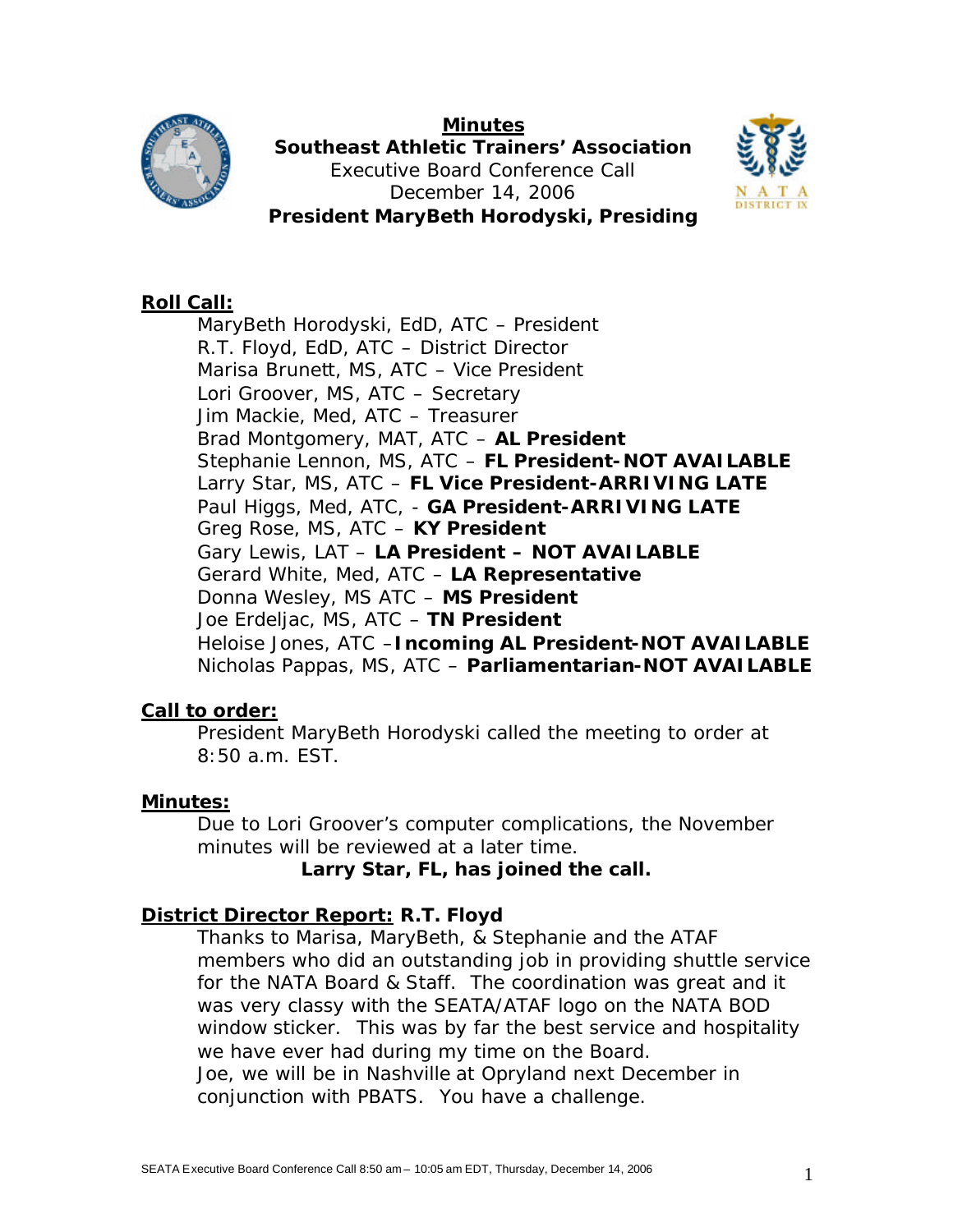

**Minutes Southeast Athletic Trainers' Association** Executive Board Conference Call December 14, 2006 **President MaryBeth Horodyski, Presiding**



### **Roll Call:**

MaryBeth Horodyski, EdD, ATC – President R.T. Floyd, EdD, ATC – District Director Marisa Brunett, MS, ATC – Vice President Lori Groover, MS, ATC – Secretary Jim Mackie, Med, ATC – Treasurer Brad Montgomery, MAT, ATC – **AL President** Stephanie Lennon, MS, ATC – **FL President-NOT AVAILABLE** Larry Star, MS, ATC – **FL Vice President-ARRIVING LATE** Paul Higgs, Med, ATC, - **GA President-ARRIVING LATE** Greg Rose, MS, ATC – **KY President**  Gary Lewis, LAT – **LA President – NOT AVAILABLE** Gerard White, Med, ATC – **LA Representative**  Donna Wesley, MS ATC – **MS President** Joe Erdeljac, MS, ATC – **TN President** Heloise Jones, ATC –**Incoming AL President-NOT AVAILABLE** Nicholas Pappas, MS, ATC – **Parliamentarian-NOT AVAILABLE**

#### **Call to order:**

President MaryBeth Horodyski called the meeting to order at 8:50 a.m. EST.

#### **Minutes:**

Due to Lori Groover's computer complications, the November minutes will be reviewed at a later time.

*Larry Star, FL, has joined the call.*

#### **District Director Report: R.T. Floyd**

Thanks to Marisa, MaryBeth, & Stephanie and the ATAF members who did an outstanding job in providing shuttle service for the NATA Board & Staff. The coordination was great and it was very classy with the SEATA/ATAF logo on the NATA BOD window sticker. This was by far the best service and hospitality we have ever had during my time on the Board. Joe, we will be in Nashville at Opryland next December in conjunction with PBATS. You have a challenge.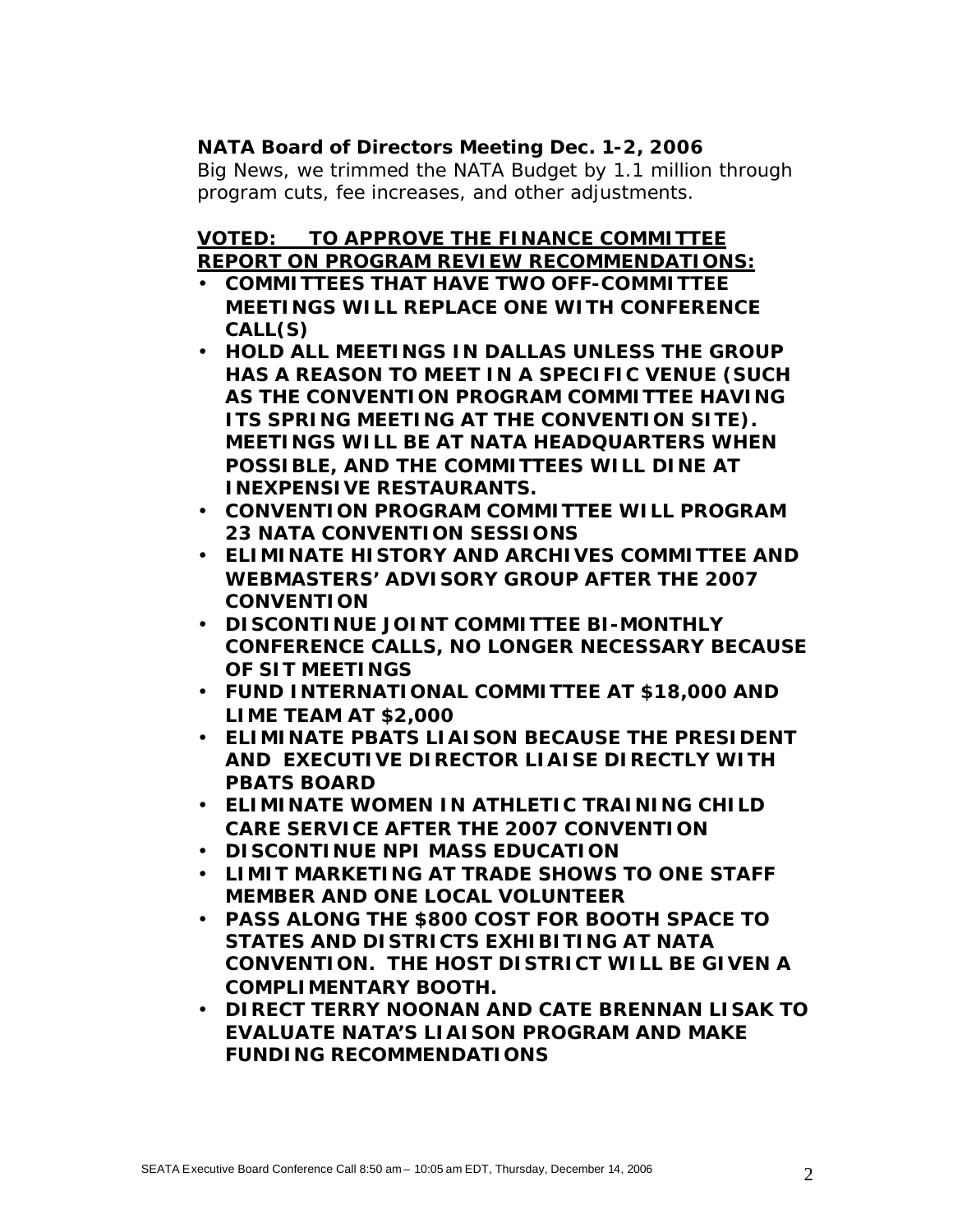### **NATA Board of Directors Meeting Dec. 1-2, 2006**

Big News, we trimmed the NATA Budget by 1.1 million through program cuts, fee increases, and other adjustments.

# **VOTED: TO APPROVE THE FINANCE COMMITTEE REPORT ON PROGRAM REVIEW RECOMMENDATIONS:**

- **COMMITTEES THAT HAVE TWO OFF-COMMITTEE MEETINGS WILL REPLACE ONE WITH CONFERENCE CALL(S)**
- **HOLD ALL MEETINGS IN DALLAS UNLESS THE GROUP HAS A REASON TO MEET IN A SPECIFIC VENUE (SUCH AS THE CONVENTION PROGRAM COMMITTEE HAVING ITS SPRING MEETING AT THE CONVENTION SITE). MEETINGS WILL BE AT NATA HEADQUARTERS WHEN POSSIBLE, AND THE COMMITTEES WILL DINE AT INEXPENSIVE RESTAURANTS.**
- **CONVENTION PROGRAM COMMITTEE WILL PROGRAM 23 NATA CONVENTION SESSIONS**
- **ELIMINATE HISTORY AND ARCHIVES COMMITTEE AND WEBMASTERS' ADVISORY GROUP AFTER THE 2007 CONVENTION**
- **DISCONTINUE JOINT COMMITTEE BI-MONTHLY CONFERENCE CALLS, NO LONGER NECESSARY BECAUSE OF SIT MEETINGS**
- **FUND INTERNATIONAL COMMITTEE AT \$18,000 AND LIME TEAM AT \$2,000**
- **ELIMINATE PBATS LIAISON BECAUSE THE PRESIDENT AND EXECUTIVE DIRECTOR LIAISE DIRECTLY WITH PBATS BOARD**
- **ELIMINATE WOMEN IN ATHLETIC TRAINING CHILD CARE SERVICE AFTER THE 2007 CONVENTION**
- **DISCONTINUE NPI MASS EDUCATION**
- **LIMIT MARKETING AT TRADE SHOWS TO ONE STAFF MEMBER AND ONE LOCAL VOLUNTEER**
- **PASS ALONG THE \$800 COST FOR BOOTH SPACE TO STATES AND DISTRICTS EXHIBITING AT NATA CONVENTION. THE HOST DISTRICT WILL BE GIVEN A COMPLIMENTARY BOOTH.**
- **DIRECT TERRY NOONAN AND CATE BRENNAN LISAK TO EVALUATE NATA'S LIAISON PROGRAM AND MAKE FUNDING RECOMMENDATIONS**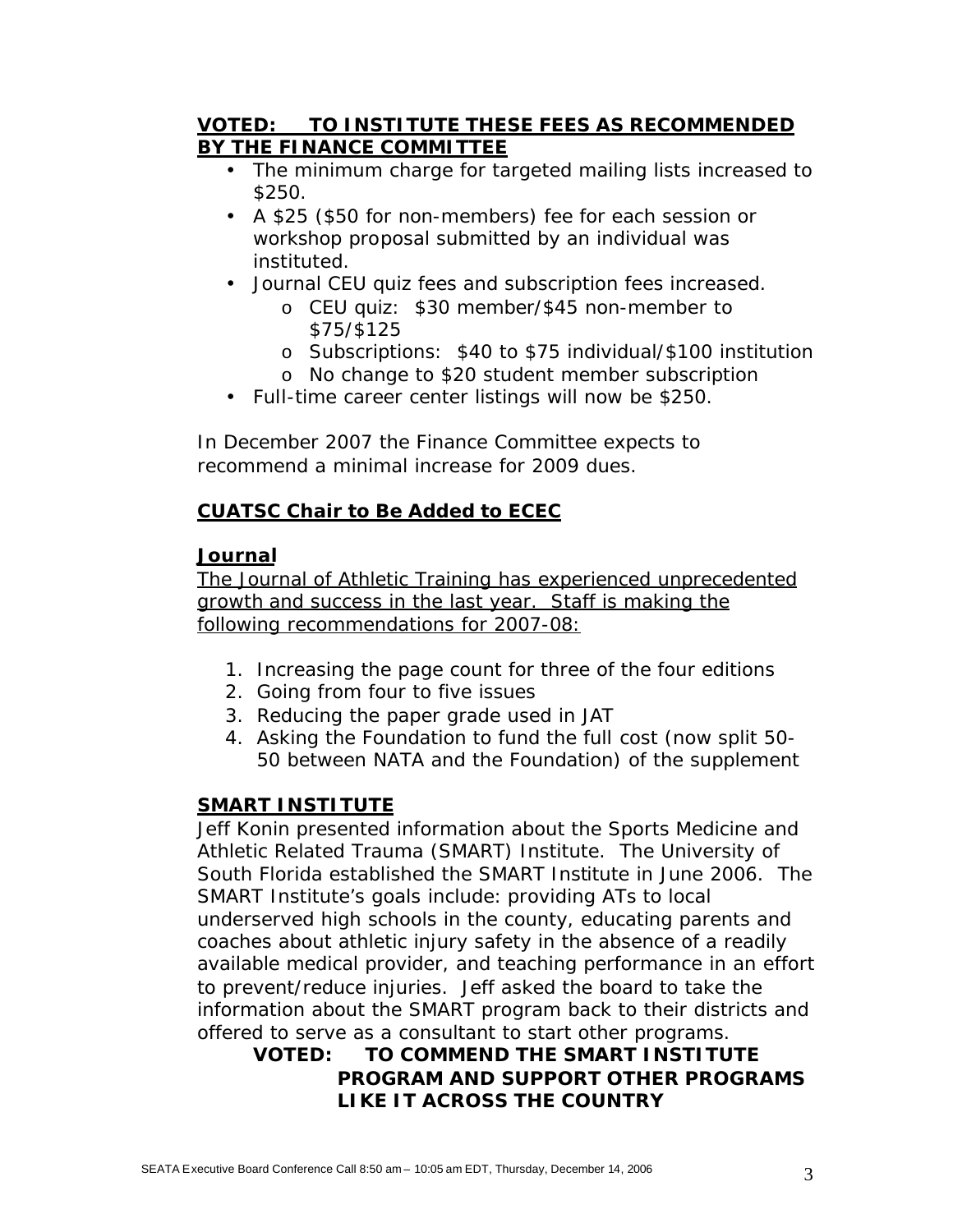### **VOTED: TO INSTITUTE THESE FEES AS RECOMMENDED BY THE FINANCE COMMITTEE**

- The minimum charge for targeted mailing lists increased to \$250.
- A \$25 (\$50 for non-members) fee for each session or workshop proposal submitted by an individual was instituted.
- Journal CEU quiz fees and subscription fees increased.
	- o CEU quiz: \$30 member/\$45 non-member to \$75/\$125
	- o Subscriptions: \$40 to \$75 individual/\$100 institution
	- o No change to \$20 student member subscription
- Full-time career center listings will now be \$250.

In December 2007 the Finance Committee expects to recommend a minimal increase for 2009 dues.

## **CUATSC Chair to Be Added to ECEC**

### **Journal**

The *Journal of Athletic Training* has experienced unprecedented growth and success in the last year. Staff is making the following recommendations for 2007-08:

- 1. Increasing the page count for three of the four editions
- 2. Going from four to five issues
- 3. Reducing the paper grade used in *JAT*
- 4. Asking the Foundation to fund the full cost (now split 50- 50 between NATA and the Foundation) of the supplement

## **SMART INSTITUTE**

Jeff Konin presented information about the Sports Medicine and Athletic Related Trauma (SMART) Institute. The University of South Florida established the SMART Institute in June 2006. The SMART Institute's goals include: providing ATs to local underserved high schools in the county, educating parents and coaches about athletic injury safety in the absence of a readily available medical provider, and teaching performance in an effort to prevent/reduce injuries. Jeff asked the board to take the information about the SMART program back to their districts and offered to serve as a consultant to start other programs.

## **VOTED: TO COMMEND THE SMART INSTITUTE PROGRAM AND SUPPORT OTHER PROGRAMS LIKE IT ACROSS THE COUNTRY**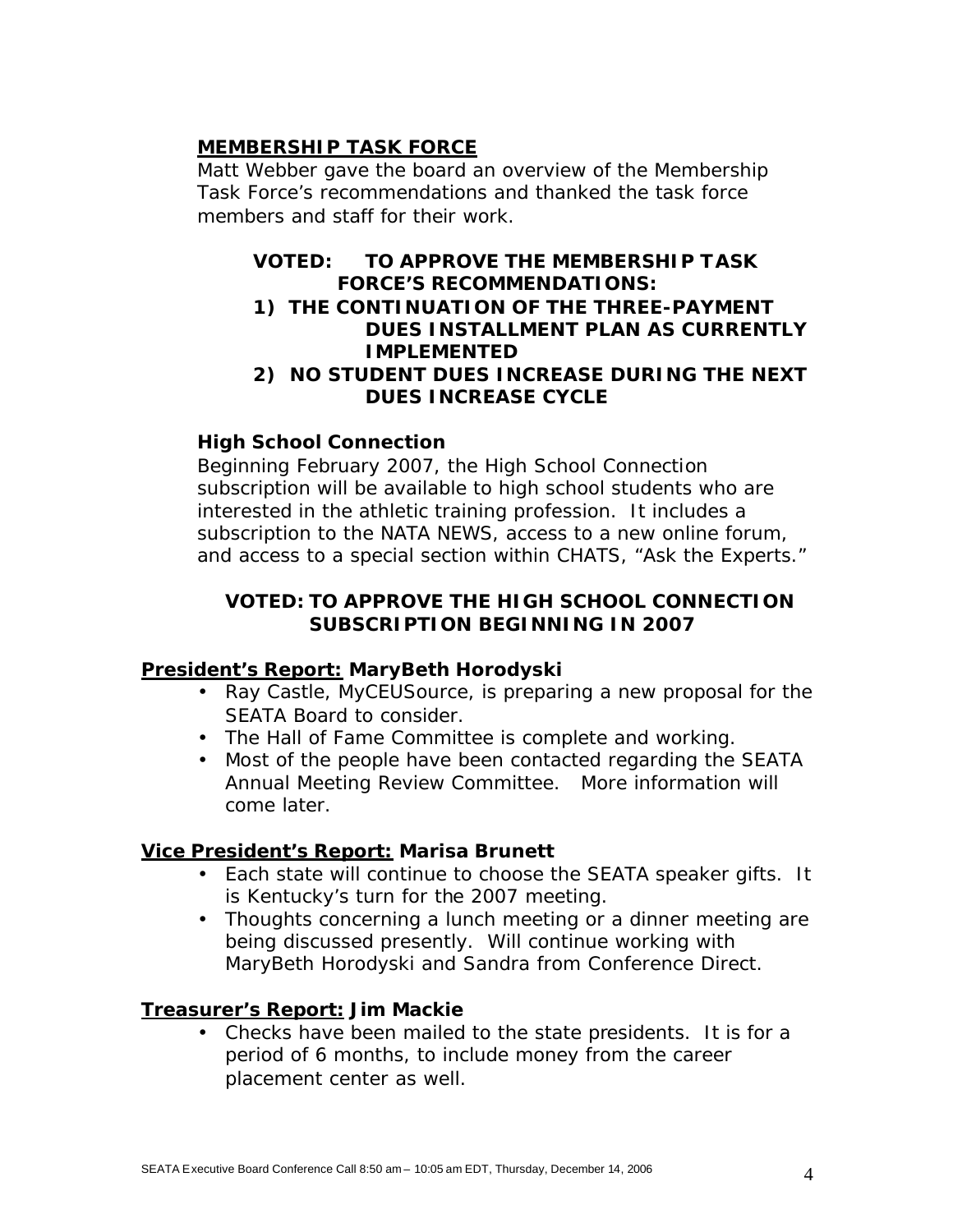## **MEMBERSHIP TASK FORCE**

Matt Webber gave the board an overview of the Membership Task Force's recommendations and thanked the task force members and staff for their work.

### **VOTED: TO APPROVE THE MEMBERSHIP TASK FORCE'S RECOMMENDATIONS:**

### **1) THE CONTINUATION OF THE THREE-PAYMENT DUES INSTALLMENT PLAN AS CURRENTLY IMPLEMENTED**

#### **2) NO STUDENT DUES INCREASE DURING THE NEXT DUES INCREASE CYCLE**

## **High School Connection**

Beginning February 2007, the High School Connection subscription will be available to high school students who are interested in the athletic training profession. It includes a subscription to the *NATA NEWS*, access to a new online forum, and access to a special section within CHATS, "Ask the Experts."

### *VOTED: TO APPROVE THE HIGH SCHOOL CONNECTION SUBSCRIPTION BEGINNING IN 2007*

#### **President's Report: MaryBeth Horodyski**

- Ray Castle, MyCEUSource, is preparing a new proposal for the SEATA Board to consider.
- The Hall of Fame Committee is complete and working.
- Most of the people have been contacted regarding the SEATA Annual Meeting Review Committee. More information will come later.

#### **Vice President's Report: Marisa Brunett**

- Each state will continue to choose the SEATA speaker gifts. It is Kentucky's turn for the 2007 meeting.
- Thoughts concerning a lunch meeting or a dinner meeting are being discussed presently. Will continue working with MaryBeth Horodyski and Sandra from Conference Direct.

#### **Treasurer's Report: Jim Mackie**

• Checks have been mailed to the state presidents. It is for a period of 6 months, to include money from the career placement center as well.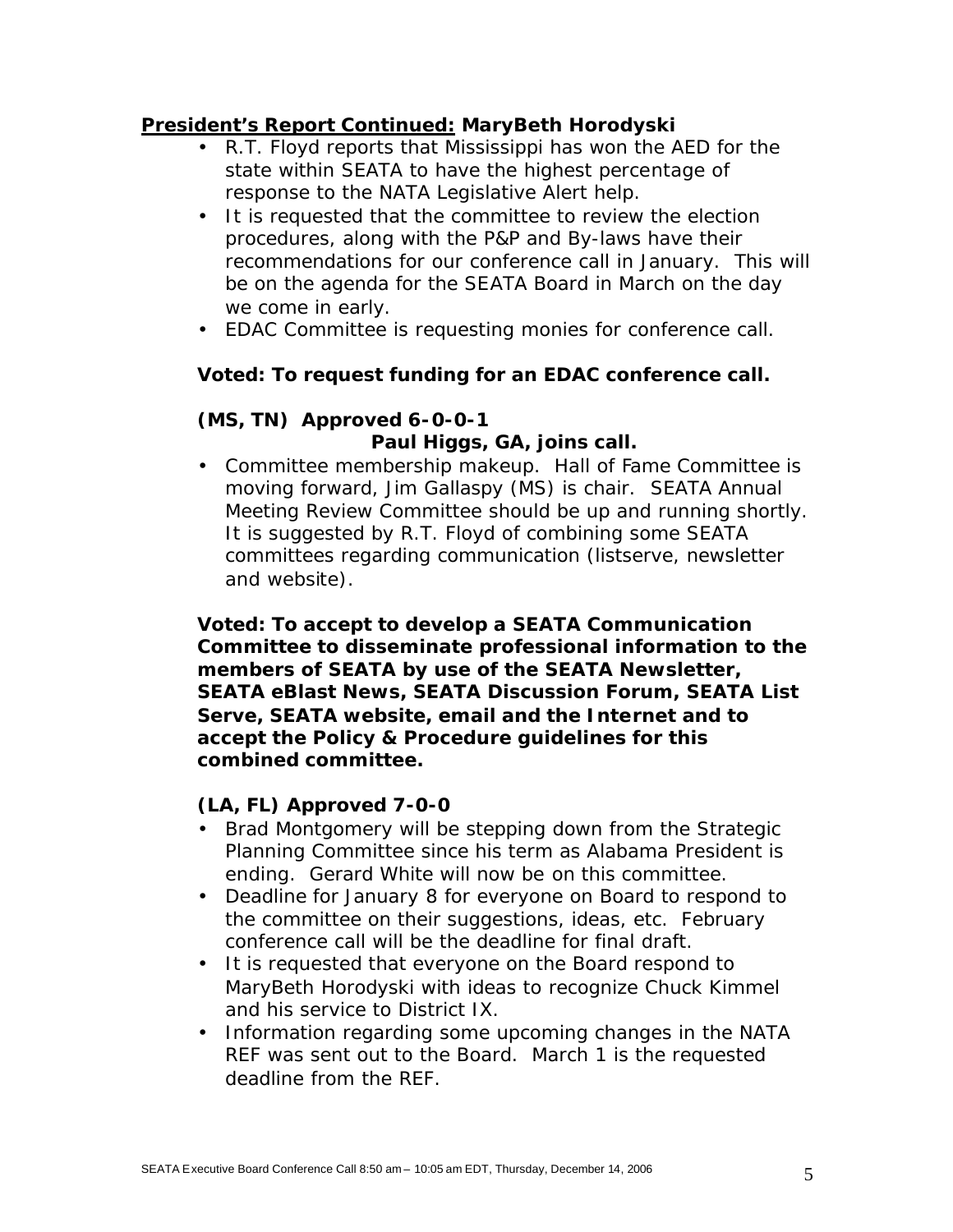#### **President's Report Continued: MaryBeth Horodyski**

- R.T. Floyd reports that Mississippi has won the AED for the state within SEATA to have the highest percentage of response to the NATA Legislative Alert help.
- It is requested that the committee to review the election procedures, along with the P&P and By-laws have their recommendations for our conference call in January. This will be on the agenda for the SEATA Board in March on the day we come in early.
- EDAC Committee is requesting monies for conference call.

### **Voted: To request funding for an EDAC conference call.**

# **(MS, TN) Approved 6-0-0-1** *Paul Higgs, GA, joins call.*

• Committee membership makeup. Hall of Fame Committee is moving forward, Jim Gallaspy (MS) is chair. SEATA Annual Meeting Review Committee should be up and running shortly. It is suggested by R.T. Floyd of combining some SEATA committees regarding communication (listserve, newsletter and website).

**Voted: To accept to develop a SEATA Communication Committee to disseminate professional information to the members of SEATA by use of the** *SEATA Newsletter, SEATA eBlast News,* **SEATA Discussion Forum, SEATA List Serve, SEATA website, email and the Internet and to accept the Policy & Procedure guidelines for this combined committee.**

#### **(LA, FL) Approved 7-0-0**

- Brad Montgomery will be stepping down from the Strategic Planning Committee since his term as Alabama President is ending. Gerard White will now be on this committee.
- Deadline for January 8 for everyone on Board to respond to the committee on their suggestions, ideas, etc. February conference call will be the deadline for final draft.
- It is requested that everyone on the Board respond to MaryBeth Horodyski with ideas to recognize Chuck Kimmel and his service to District IX.
- Information regarding some upcoming changes in the NATA REF was sent out to the Board. March 1 is the requested deadline from the REF.